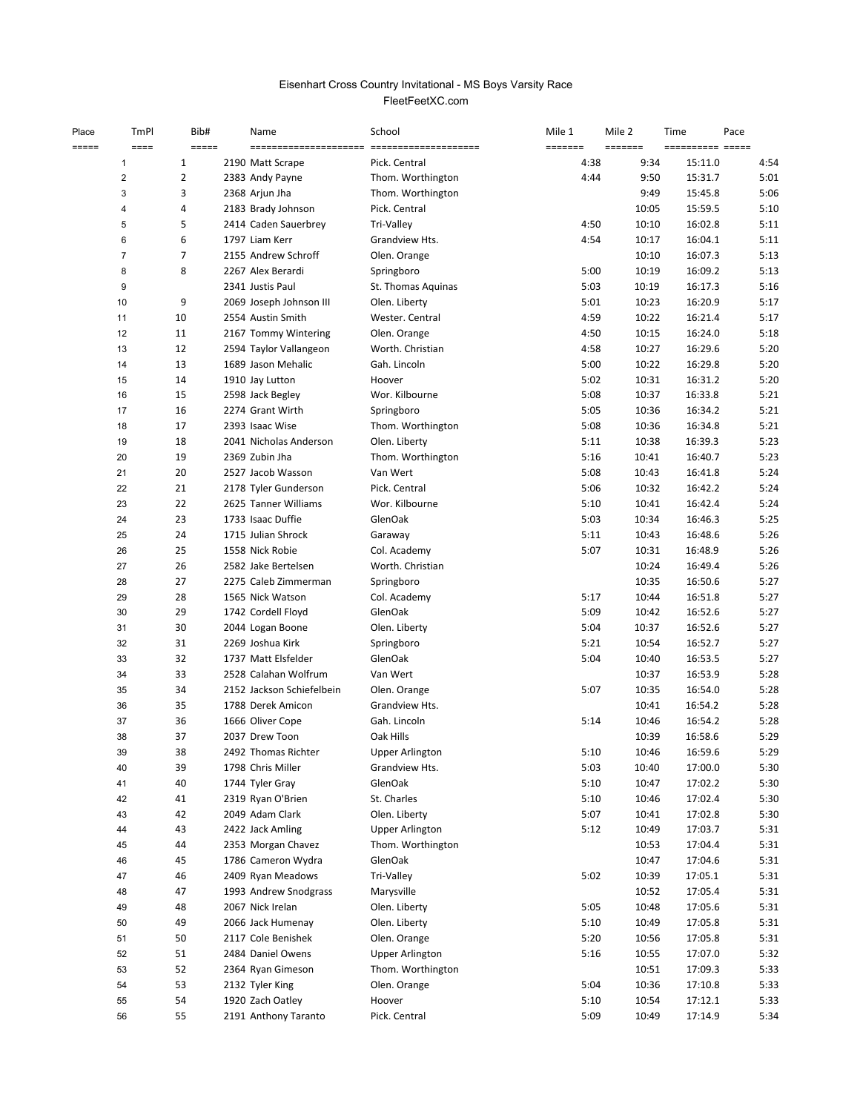## FleetFeetXC.com Eisenhart Cross Country Invitational - MS Boys Varsity Race

| Place<br>===== | TmPl<br>$=$ $=$ $=$ $=$ | Bib#<br>$=$ $=$ $=$ $=$ | Name<br>=======================             | School<br>===================== | Mile 1<br>======= | Mile 2<br>======= | Time<br>---------- ----- | Pace         |
|----------------|-------------------------|-------------------------|---------------------------------------------|---------------------------------|-------------------|-------------------|--------------------------|--------------|
|                | 1                       | 1                       | 2190 Matt Scrape                            | Pick. Central                   | 4:38              | 9:34              | 15:11.0                  | 4:54         |
|                | $\overline{2}$          | 2                       | 2383 Andy Payne                             | Thom. Worthington               | 4:44              | 9:50              | 15:31.7                  | 5:01         |
|                | 3                       | 3                       | 2368 Arjun Jha                              | Thom. Worthington               |                   | 9:49              | 15:45.8                  | 5:06         |
|                | 4                       | 4                       | 2183 Brady Johnson                          | Pick. Central                   |                   | 10:05             | 15:59.5                  | 5:10         |
|                | 5                       | 5                       | 2414 Caden Sauerbrey                        | Tri-Valley                      | 4:50              | 10:10             | 16:02.8                  | 5:11         |
|                | 6                       | 6                       | 1797 Liam Kerr                              | Grandview Hts.                  | 4:54              | 10:17             | 16:04.1                  | 5:11         |
|                | $\overline{7}$          | 7                       | 2155 Andrew Schroff                         | Olen. Orange                    |                   | 10:10             | 16:07.3                  | 5:13         |
|                | 8                       | 8                       | 2267 Alex Berardi                           | Springboro                      | 5:00              | 10:19             | 16:09.2                  | 5:13         |
|                | 9                       |                         | 2341 Justis Paul                            | St. Thomas Aquinas              | 5:03              | 10:19             | 16:17.3                  | 5:16         |
|                | 10                      | 9                       | 2069 Joseph Johnson III                     | Olen. Liberty                   | 5:01              | 10:23             | 16:20.9                  | 5:17         |
|                | 11                      | 10                      | 2554 Austin Smith                           | Wester. Central                 | 4:59              | 10:22             | 16:21.4                  | 5:17         |
|                | 12                      | 11                      | 2167 Tommy Wintering                        | Olen. Orange                    | 4:50              | 10:15             | 16:24.0                  | 5:18         |
|                | 13                      | 12                      | 2594 Taylor Vallangeon                      | Worth. Christian                | 4:58              | 10:27             | 16:29.6                  | 5:20         |
|                | 14                      | 13                      | 1689 Jason Mehalic                          | Gah. Lincoln                    | 5:00              | 10:22             | 16:29.8                  | 5:20         |
|                | 15                      | 14                      | 1910 Jay Lutton                             | Hoover                          | 5:02              | 10:31             | 16:31.2                  | 5:20         |
|                | 16                      | 15                      | 2598 Jack Begley                            | Wor. Kilbourne                  | 5:08              | 10:37             | 16:33.8                  | 5:21         |
|                | 17                      | 16                      | 2274 Grant Wirth                            | Springboro                      | 5:05              | 10:36             | 16:34.2                  | 5:21         |
|                | 18                      | 17                      | 2393 Isaac Wise                             | Thom. Worthington               | 5:08              | 10:36             | 16:34.8                  | 5:21         |
|                | 19                      | 18                      | 2041 Nicholas Anderson                      | Olen. Liberty                   | 5:11              | 10:38             | 16:39.3                  | 5:23         |
|                | 20                      | 19                      | 2369 Zubin Jha                              | Thom. Worthington               | 5:16              | 10:41             | 16:40.7                  | 5:23         |
|                | 21                      | 20                      | 2527 Jacob Wasson                           | Van Wert                        | 5:08              | 10:43             | 16:41.8                  | 5:24         |
|                | 22                      | 21                      | 2178 Tyler Gunderson                        | Pick. Central                   | 5:06              | 10:32             | 16:42.2                  | 5:24         |
|                | 23                      | 22                      | 2625 Tanner Williams                        | Wor. Kilbourne                  | 5:10              | 10:41             | 16:42.4                  | 5:24         |
|                | 24                      | 23                      | 1733 Isaac Duffie                           | GlenOak                         | 5:03              | 10:34             | 16:46.3                  | 5:25         |
|                | 25                      | 24                      | 1715 Julian Shrock                          | Garaway                         | 5:11              | 10:43             | 16:48.6                  | 5:26         |
|                | 26                      | 25                      | 1558 Nick Robie                             | Col. Academy                    | 5:07              | 10:31             | 16:48.9                  | 5:26         |
|                | 27                      | 26                      | 2582 Jake Bertelsen                         | Worth. Christian                |                   | 10:24             | 16:49.4                  | 5:26         |
|                | 28                      | 27                      | 2275 Caleb Zimmerman                        | Springboro                      |                   | 10:35             | 16:50.6                  | 5:27         |
|                | 29                      | 28                      | 1565 Nick Watson                            | Col. Academy                    | 5:17              | 10:44             | 16:51.8                  | 5:27         |
|                | 30                      | 29                      | 1742 Cordell Floyd                          | GlenOak                         | 5:09              | 10:42             | 16:52.6                  | 5:27         |
|                | 31                      | 30                      | 2044 Logan Boone                            | Olen. Liberty                   | 5:04              | 10:37             | 16:52.6                  | 5:27         |
|                | 32                      | 31                      | 2269 Joshua Kirk                            | Springboro                      | 5:21              | 10:54             | 16:52.7                  | 5:27         |
|                | 33                      | 32                      | 1737 Matt Elsfelder<br>2528 Calahan Wolfrum | GlenOak                         | 5:04              | 10:40             | 16:53.5                  | 5:27         |
|                | 34<br>35                | 33<br>34                | 2152 Jackson Schiefelbein                   | Van Wert<br>Olen. Orange        | 5:07              | 10:37<br>10:35    | 16:53.9<br>16:54.0       | 5:28<br>5:28 |
|                | 36                      | 35                      | 1788 Derek Amicon                           | Grandview Hts.                  |                   |                   | 16:54.2                  | 5:28         |
|                | 37                      | 36                      | 1666 Oliver Cope                            | Gah. Lincoln                    | 5:14              | 10:41<br>10:46    | 16:54.2                  | 5:28         |
|                | 38                      | 37                      | 2037 Drew Toon                              | Oak Hills                       |                   | 10:39             | 16:58.6                  | 5:29         |
|                | 39                      | 38                      | 2492 Thomas Richter                         | <b>Upper Arlington</b>          | 5:10              | 10:46             | 16:59.6                  | 5:29         |
|                | 40                      | 39                      | 1798 Chris Miller                           | Grandview Hts.                  | 5:03              | 10:40             | 17:00.0                  | 5:30         |
|                | 41                      | 40                      | 1744 Tyler Gray                             | GlenOak                         | 5:10              | 10:47             | 17:02.2                  | 5:30         |
|                | 42                      | 41                      | 2319 Ryan O'Brien                           | St. Charles                     | 5:10              | 10:46             | 17:02.4                  | 5:30         |
|                | 43                      | 42                      | 2049 Adam Clark                             | Olen. Liberty                   | 5:07              | 10:41             | 17:02.8                  | 5:30         |
|                | 44                      | 43                      | 2422 Jack Amling                            | <b>Upper Arlington</b>          | 5:12              | 10:49             | 17:03.7                  | 5:31         |
|                | 45                      | 44                      | 2353 Morgan Chavez                          | Thom. Worthington               |                   | 10:53             | 17:04.4                  | 5:31         |
|                | 46                      | 45                      | 1786 Cameron Wydra                          | GlenOak                         |                   | 10:47             | 17:04.6                  | 5:31         |
|                | 47                      | 46                      | 2409 Ryan Meadows                           | Tri-Valley                      | 5:02              | 10:39             | 17:05.1                  | 5:31         |
|                | 48                      | 47                      | 1993 Andrew Snodgrass                       | Marysville                      |                   | 10:52             | 17:05.4                  | 5:31         |
|                | 49                      | 48                      | 2067 Nick Irelan                            | Olen. Liberty                   | 5:05              | 10:48             | 17:05.6                  | 5:31         |
|                | 50                      | 49                      | 2066 Jack Humenay                           | Olen. Liberty                   | 5:10              | 10:49             | 17:05.8                  | 5:31         |
|                | 51                      | 50                      | 2117 Cole Benishek                          | Olen. Orange                    | 5:20              | 10:56             | 17:05.8                  | 5:31         |
|                | 52                      | 51                      | 2484 Daniel Owens                           | <b>Upper Arlington</b>          | 5:16              | 10:55             | 17:07.0                  | 5:32         |
|                | 53                      | 52                      | 2364 Ryan Gimeson                           | Thom. Worthington               |                   | 10:51             | 17:09.3                  | 5:33         |
|                | 54                      | 53                      | 2132 Tyler King                             | Olen. Orange                    | 5:04              | 10:36             | 17:10.8                  | 5:33         |
|                | 55                      | 54                      | 1920 Zach Oatley                            | Hoover                          | 5:10              | 10:54             | 17:12.1                  | 5:33         |
|                | 56                      | 55                      | 2191 Anthony Taranto                        | Pick. Central                   | 5:09              | 10:49             | 17:14.9                  | 5:34         |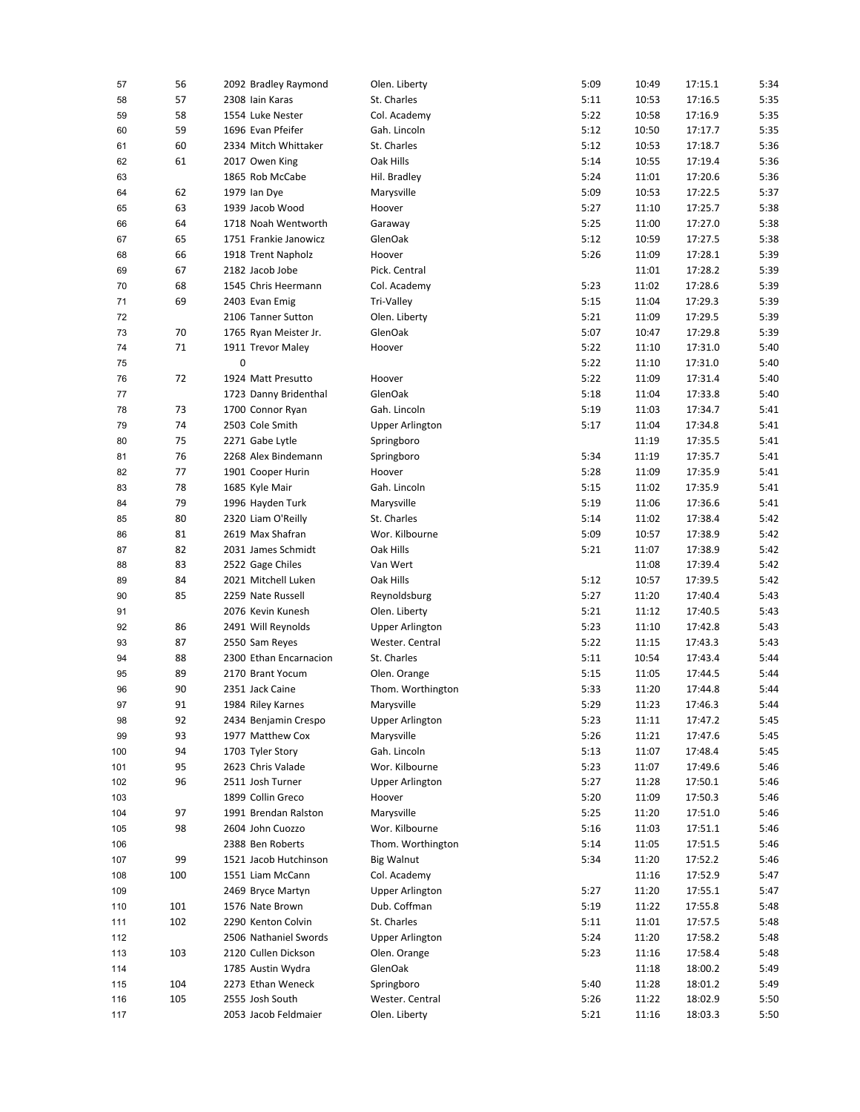| 57  | 56  | 2092 Bradley Raymond   | Olen. Liberty          | 5:09 | 10:49 | 17:15.1 | 5:34 |
|-----|-----|------------------------|------------------------|------|-------|---------|------|
| 58  | 57  | 2308 Iain Karas        | St. Charles            | 5:11 | 10:53 | 17:16.5 | 5:35 |
| 59  | 58  | 1554 Luke Nester       | Col. Academy           | 5:22 | 10:58 | 17:16.9 | 5:35 |
| 60  | 59  | 1696 Evan Pfeifer      | Gah. Lincoln           | 5:12 | 10:50 | 17:17.7 | 5:35 |
| 61  | 60  | 2334 Mitch Whittaker   | St. Charles            | 5:12 | 10:53 | 17:18.7 | 5:36 |
| 62  | 61  | 2017 Owen King         | Oak Hills              | 5:14 | 10:55 | 17:19.4 | 5:36 |
| 63  |     | 1865 Rob McCabe        | Hil. Bradley           | 5:24 | 11:01 | 17:20.6 | 5:36 |
| 64  | 62  | 1979 Ian Dye           | Marysville             | 5:09 | 10:53 | 17:22.5 | 5:37 |
| 65  | 63  | 1939 Jacob Wood        | Hoover                 | 5:27 | 11:10 | 17:25.7 | 5:38 |
| 66  | 64  | 1718 Noah Wentworth    | Garaway                | 5:25 | 11:00 | 17:27.0 | 5:38 |
| 67  | 65  | 1751 Frankie Janowicz  | GlenOak                | 5:12 | 10:59 | 17:27.5 | 5:38 |
| 68  | 66  | 1918 Trent Napholz     | Hoover                 | 5:26 | 11:09 | 17:28.1 | 5:39 |
| 69  | 67  | 2182 Jacob Jobe        | Pick. Central          |      | 11:01 | 17:28.2 | 5:39 |
| 70  | 68  | 1545 Chris Heermann    | Col. Academy           | 5:23 | 11:02 | 17:28.6 | 5:39 |
|     |     |                        |                        |      |       |         |      |
| 71  | 69  | 2403 Evan Emig         | Tri-Valley             | 5:15 | 11:04 | 17:29.3 | 5:39 |
| 72  |     | 2106 Tanner Sutton     | Olen. Liberty          | 5:21 | 11:09 | 17:29.5 | 5:39 |
| 73  | 70  | 1765 Ryan Meister Jr.  | GlenOak                | 5:07 | 10:47 | 17:29.8 | 5:39 |
| 74  | 71  | 1911 Trevor Maley      | Hoover                 | 5:22 | 11:10 | 17:31.0 | 5:40 |
| 75  |     | 0                      |                        | 5:22 | 11:10 | 17:31.0 | 5:40 |
| 76  | 72  | 1924 Matt Presutto     | Hoover                 | 5:22 | 11:09 | 17:31.4 | 5:40 |
| 77  |     | 1723 Danny Bridenthal  | GlenOak                | 5:18 | 11:04 | 17:33.8 | 5:40 |
| 78  | 73  | 1700 Connor Ryan       | Gah. Lincoln           | 5:19 | 11:03 | 17:34.7 | 5:41 |
| 79  | 74  | 2503 Cole Smith        | <b>Upper Arlington</b> | 5:17 | 11:04 | 17:34.8 | 5:41 |
| 80  | 75  | 2271 Gabe Lytle        | Springboro             |      | 11:19 | 17:35.5 | 5:41 |
| 81  | 76  | 2268 Alex Bindemann    | Springboro             | 5:34 | 11:19 | 17:35.7 | 5:41 |
| 82  | 77  | 1901 Cooper Hurin      | Hoover                 | 5:28 | 11:09 | 17:35.9 | 5:41 |
| 83  | 78  | 1685 Kyle Mair         | Gah. Lincoln           | 5:15 | 11:02 | 17:35.9 | 5:41 |
| 84  | 79  | 1996 Hayden Turk       | Marysville             | 5:19 | 11:06 | 17:36.6 | 5:41 |
| 85  | 80  | 2320 Liam O'Reilly     | St. Charles            | 5:14 | 11:02 | 17:38.4 | 5:42 |
| 86  | 81  | 2619 Max Shafran       | Wor. Kilbourne         | 5:09 | 10:57 | 17:38.9 | 5:42 |
| 87  | 82  | 2031 James Schmidt     | Oak Hills              | 5:21 | 11:07 | 17:38.9 | 5:42 |
| 88  | 83  | 2522 Gage Chiles       | Van Wert               |      | 11:08 | 17:39.4 | 5:42 |
| 89  | 84  | 2021 Mitchell Luken    | Oak Hills              | 5:12 | 10:57 | 17:39.5 | 5:42 |
| 90  | 85  | 2259 Nate Russell      | Reynoldsburg           | 5:27 | 11:20 | 17:40.4 | 5:43 |
|     |     | 2076 Kevin Kunesh      |                        | 5:21 | 11:12 | 17:40.5 | 5:43 |
| 91  |     |                        | Olen. Liberty          |      |       |         |      |
| 92  | 86  | 2491 Will Reynolds     | <b>Upper Arlington</b> | 5:23 | 11:10 | 17:42.8 | 5:43 |
| 93  | 87  | 2550 Sam Reyes         | Wester. Central        | 5:22 | 11:15 | 17:43.3 | 5:43 |
| 94  | 88  | 2300 Ethan Encarnacion | St. Charles            | 5:11 | 10:54 | 17:43.4 | 5:44 |
| 95  | 89  | 2170 Brant Yocum       | Olen. Orange           | 5:15 | 11:05 | 17:44.5 | 5:44 |
| 96  | 90  | 2351 Jack Caine        | Thom. Worthington      | 5:33 | 11:20 | 17:44.8 | 5:44 |
| 97  | 91  | 1984 Riley Karnes      | Marysville             | 5:29 | 11:23 | 17:46.3 | 5:44 |
| 98  | 92  | 2434 Benjamin Crespo   | <b>Upper Arlington</b> | 5:23 | 11:11 | 17:47.2 | 5:45 |
| 99  | 93  | 1977 Matthew Cox       | Marysville             | 5:26 | 11:21 | 17:47.6 | 5:45 |
| 100 | 94  | 1703 Tyler Story       | Gah. Lincoln           | 5:13 | 11:07 | 17:48.4 | 5:45 |
| 101 | 95  | 2623 Chris Valade      | Wor. Kilbourne         | 5:23 | 11:07 | 17:49.6 | 5:46 |
| 102 | 96  | 2511 Josh Turner       | <b>Upper Arlington</b> | 5:27 | 11:28 | 17:50.1 | 5:46 |
| 103 |     | 1899 Collin Greco      | Hoover                 | 5:20 | 11:09 | 17:50.3 | 5:46 |
| 104 | 97  | 1991 Brendan Ralston   | Marysville             | 5:25 | 11:20 | 17:51.0 | 5:46 |
| 105 | 98  | 2604 John Cuozzo       | Wor. Kilbourne         | 5:16 | 11:03 | 17:51.1 | 5:46 |
| 106 |     | 2388 Ben Roberts       | Thom. Worthington      | 5:14 | 11:05 | 17:51.5 | 5:46 |
| 107 | 99  | 1521 Jacob Hutchinson  | <b>Big Walnut</b>      | 5:34 | 11:20 | 17:52.2 | 5:46 |
| 108 | 100 | 1551 Liam McCann       | Col. Academy           |      | 11:16 | 17:52.9 | 5:47 |
| 109 |     | 2469 Bryce Martyn      | <b>Upper Arlington</b> | 5:27 | 11:20 | 17:55.1 | 5:47 |
| 110 | 101 | 1576 Nate Brown        | Dub. Coffman           | 5:19 | 11:22 | 17:55.8 | 5:48 |
|     |     | 2290 Kenton Colvin     | St. Charles            |      |       |         |      |
| 111 | 102 |                        |                        | 5:11 | 11:01 | 17:57.5 | 5:48 |
| 112 |     | 2506 Nathaniel Swords  | <b>Upper Arlington</b> | 5:24 | 11:20 | 17:58.2 | 5:48 |
| 113 | 103 | 2120 Cullen Dickson    | Olen. Orange           | 5:23 | 11:16 | 17:58.4 | 5:48 |
| 114 |     | 1785 Austin Wydra      | GlenOak                |      | 11:18 | 18:00.2 | 5:49 |
| 115 | 104 | 2273 Ethan Weneck      | Springboro             | 5:40 | 11:28 | 18:01.2 | 5:49 |
| 116 | 105 | 2555 Josh South        | Wester. Central        | 5:26 | 11:22 | 18:02.9 | 5:50 |
| 117 |     | 2053 Jacob Feldmaier   | Olen. Liberty          | 5:21 | 11:16 | 18:03.3 | 5:50 |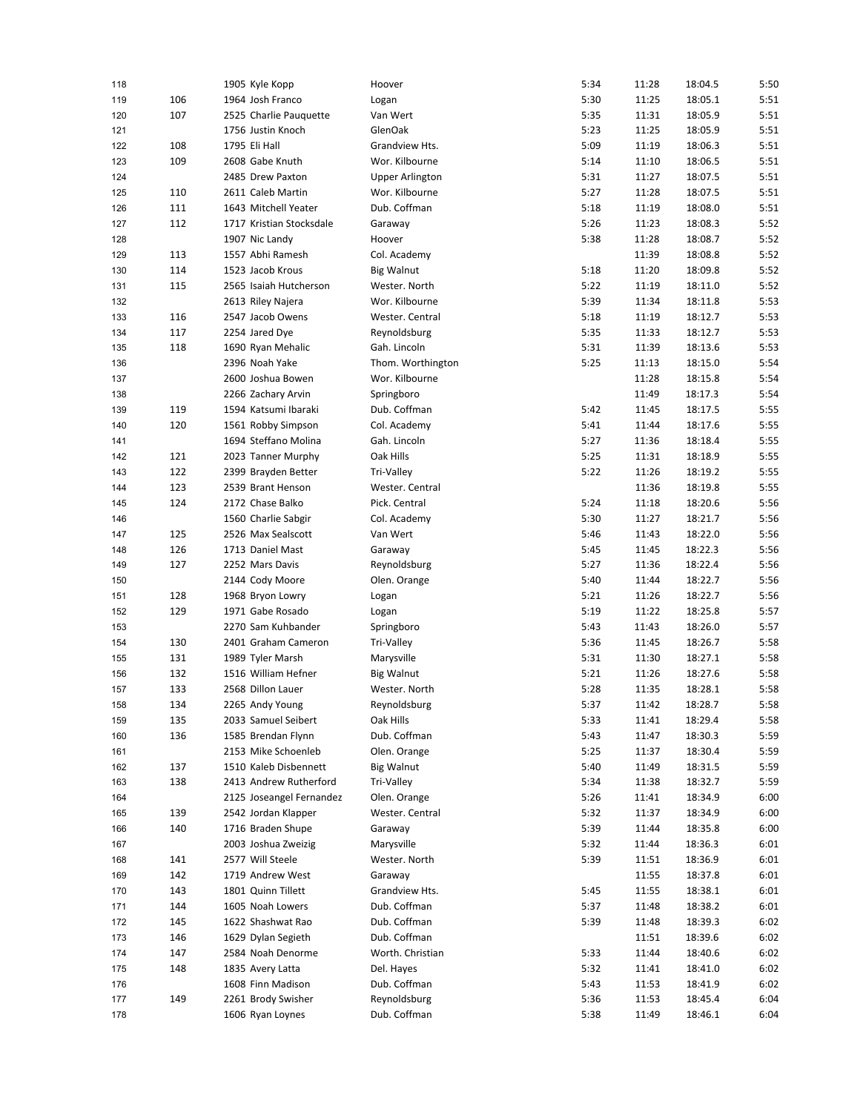| 118 |     | 1905 Kyle Kopp                             | Hoover                 | 5:34 | 11:28 | 18:04.5            | 5:50 |
|-----|-----|--------------------------------------------|------------------------|------|-------|--------------------|------|
| 119 | 106 | 1964 Josh Franco                           | Logan                  | 5:30 | 11:25 | 18:05.1            | 5:51 |
| 120 | 107 | 2525 Charlie Pauquette                     | Van Wert               | 5:35 | 11:31 | 18:05.9            | 5:51 |
| 121 |     | 1756 Justin Knoch                          | GlenOak                | 5:23 | 11:25 | 18:05.9            | 5:51 |
| 122 | 108 | 1795 Eli Hall                              | Grandview Hts.         | 5:09 | 11:19 | 18:06.3            | 5:51 |
| 123 | 109 | 2608 Gabe Knuth                            | Wor. Kilbourne         | 5:14 | 11:10 | 18:06.5            | 5:51 |
| 124 |     | 2485 Drew Paxton                           | <b>Upper Arlington</b> | 5:31 | 11:27 | 18:07.5            | 5:51 |
| 125 | 110 | 2611 Caleb Martin                          | Wor. Kilbourne         | 5:27 | 11:28 | 18:07.5            | 5:51 |
| 126 | 111 | 1643 Mitchell Yeater                       | Dub. Coffman           | 5:18 | 11:19 | 18:08.0            | 5:51 |
| 127 | 112 | 1717 Kristian Stocksdale                   | Garaway                | 5:26 | 11:23 | 18:08.3            | 5:52 |
| 128 |     | 1907 Nic Landy                             | Hoover                 | 5:38 | 11:28 | 18:08.7            | 5:52 |
| 129 | 113 | 1557 Abhi Ramesh                           | Col. Academy           |      | 11:39 | 18:08.8            | 5:52 |
| 130 | 114 | 1523 Jacob Krous                           | <b>Big Walnut</b>      | 5:18 | 11:20 | 18:09.8            | 5:52 |
| 131 | 115 | 2565 Isaiah Hutcherson                     | Wester. North          | 5:22 | 11:19 | 18:11.0            | 5:52 |
| 132 |     | 2613 Riley Najera                          | Wor. Kilbourne         | 5:39 | 11:34 | 18:11.8            | 5:53 |
| 133 | 116 | 2547 Jacob Owens                           | Wester. Central        | 5:18 | 11:19 | 18:12.7            | 5:53 |
| 134 | 117 | 2254 Jared Dye                             | Reynoldsburg           | 5:35 | 11:33 | 18:12.7            | 5:53 |
| 135 | 118 | 1690 Ryan Mehalic                          | Gah. Lincoln           | 5:31 | 11:39 | 18:13.6            | 5:53 |
| 136 |     | 2396 Noah Yake                             | Thom. Worthington      | 5:25 | 11:13 | 18:15.0            | 5:54 |
| 137 |     | 2600 Joshua Bowen                          | Wor. Kilbourne         |      | 11:28 | 18:15.8            | 5:54 |
| 138 |     | 2266 Zachary Arvin                         | Springboro             |      | 11:49 | 18:17.3            | 5:54 |
| 139 | 119 | 1594 Katsumi Ibaraki                       | Dub. Coffman           | 5:42 | 11:45 | 18:17.5            | 5:55 |
|     |     |                                            |                        |      |       |                    |      |
| 140 | 120 | 1561 Robby Simpson<br>1694 Steffano Molina | Col. Academy           | 5:41 | 11:44 | 18:17.6<br>18:18.4 | 5:55 |
| 141 |     |                                            | Gah. Lincoln           | 5:27 | 11:36 |                    | 5:55 |
| 142 | 121 | 2023 Tanner Murphy                         | Oak Hills              | 5:25 | 11:31 | 18:18.9            | 5:55 |
| 143 | 122 | 2399 Brayden Better                        | Tri-Valley             | 5:22 | 11:26 | 18:19.2            | 5:55 |
| 144 | 123 | 2539 Brant Henson                          | Wester. Central        |      | 11:36 | 18:19.8            | 5:55 |
| 145 | 124 | 2172 Chase Balko                           | Pick. Central          | 5:24 | 11:18 | 18:20.6            | 5:56 |
| 146 |     | 1560 Charlie Sabgir                        | Col. Academy           | 5:30 | 11:27 | 18:21.7            | 5:56 |
| 147 | 125 | 2526 Max Sealscott                         | Van Wert               | 5:46 | 11:43 | 18:22.0            | 5:56 |
| 148 | 126 | 1713 Daniel Mast                           | Garaway                | 5:45 | 11:45 | 18:22.3            | 5:56 |
| 149 | 127 | 2252 Mars Davis                            | Reynoldsburg           | 5:27 | 11:36 | 18:22.4            | 5:56 |
| 150 |     | 2144 Cody Moore                            | Olen. Orange           | 5:40 | 11:44 | 18:22.7            | 5:56 |
| 151 | 128 | 1968 Bryon Lowry                           | Logan                  | 5:21 | 11:26 | 18:22.7            | 5:56 |
| 152 | 129 | 1971 Gabe Rosado                           | Logan                  | 5:19 | 11:22 | 18:25.8            | 5:57 |
| 153 |     | 2270 Sam Kuhbander                         | Springboro             | 5:43 | 11:43 | 18:26.0            | 5:57 |
| 154 | 130 | 2401 Graham Cameron                        | Tri-Valley             | 5:36 | 11:45 | 18:26.7            | 5:58 |
| 155 | 131 | 1989 Tyler Marsh                           | Marysville             | 5:31 | 11:30 | 18:27.1            | 5:58 |
| 156 | 132 | 1516 William Hefner                        | <b>Big Walnut</b>      | 5:21 | 11:26 | 18:27.6            | 5:58 |
| 157 | 133 | 2568 Dillon Lauer                          | Wester. North          | 5:28 | 11:35 | 18:28.1            | 5:58 |
| 158 | 134 | 2265 Andy Young                            | Reynoldsburg           | 5:37 | 11:42 | 18:28.7            | 5:58 |
| 159 | 135 | 2033 Samuel Seibert                        | Oak Hills              | 5:33 | 11:41 | 18:29.4            | 5:58 |
| 160 | 136 | 1585 Brendan Flynn                         | Dub. Coffman           | 5:43 | 11:47 | 18:30.3            | 5:59 |
| 161 |     | 2153 Mike Schoenleb                        | Olen. Orange           | 5:25 | 11:37 | 18:30.4            | 5:59 |
| 162 | 137 | 1510 Kaleb Disbennett                      | <b>Big Walnut</b>      | 5:40 | 11:49 | 18:31.5            | 5:59 |
| 163 | 138 | 2413 Andrew Rutherford                     | Tri-Valley             | 5:34 | 11:38 | 18:32.7            | 5:59 |
| 164 |     | 2125 Joseangel Fernandez                   | Olen. Orange           | 5:26 | 11:41 | 18:34.9            | 6:00 |
| 165 | 139 | 2542 Jordan Klapper                        | Wester. Central        | 5:32 | 11:37 | 18:34.9            | 6:00 |
| 166 | 140 | 1716 Braden Shupe                          | Garaway                | 5:39 | 11:44 | 18:35.8            | 6:00 |
| 167 |     | 2003 Joshua Zweizig                        | Marysville             | 5:32 | 11:44 | 18:36.3            | 6:01 |
| 168 | 141 | 2577 Will Steele                           | Wester. North          | 5:39 | 11:51 | 18:36.9            | 6:01 |
| 169 | 142 | 1719 Andrew West                           | Garaway                |      | 11:55 | 18:37.8            | 6:01 |
| 170 | 143 | 1801 Quinn Tillett                         | Grandview Hts.         | 5:45 | 11:55 | 18:38.1            | 6:01 |
| 171 | 144 | 1605 Noah Lowers                           | Dub. Coffman           | 5:37 | 11:48 | 18:38.2            | 6:01 |
| 172 | 145 | 1622 Shashwat Rao                          | Dub. Coffman           | 5:39 | 11:48 | 18:39.3            | 6:02 |
| 173 | 146 | 1629 Dylan Segieth                         | Dub. Coffman           |      | 11:51 | 18:39.6            | 6:02 |
| 174 | 147 | 2584 Noah Denorme                          | Worth. Christian       | 5:33 | 11:44 | 18:40.6            | 6:02 |
| 175 | 148 | 1835 Avery Latta                           | Del. Hayes             | 5:32 | 11:41 | 18:41.0            | 6:02 |
| 176 |     | 1608 Finn Madison                          | Dub. Coffman           | 5:43 | 11:53 | 18:41.9            | 6:02 |
| 177 | 149 | 2261 Brody Swisher                         | Reynoldsburg           | 5:36 | 11:53 | 18:45.4            | 6:04 |
| 178 |     | 1606 Ryan Loynes                           | Dub. Coffman           | 5:38 | 11:49 | 18:46.1            | 6:04 |
|     |     |                                            |                        |      |       |                    |      |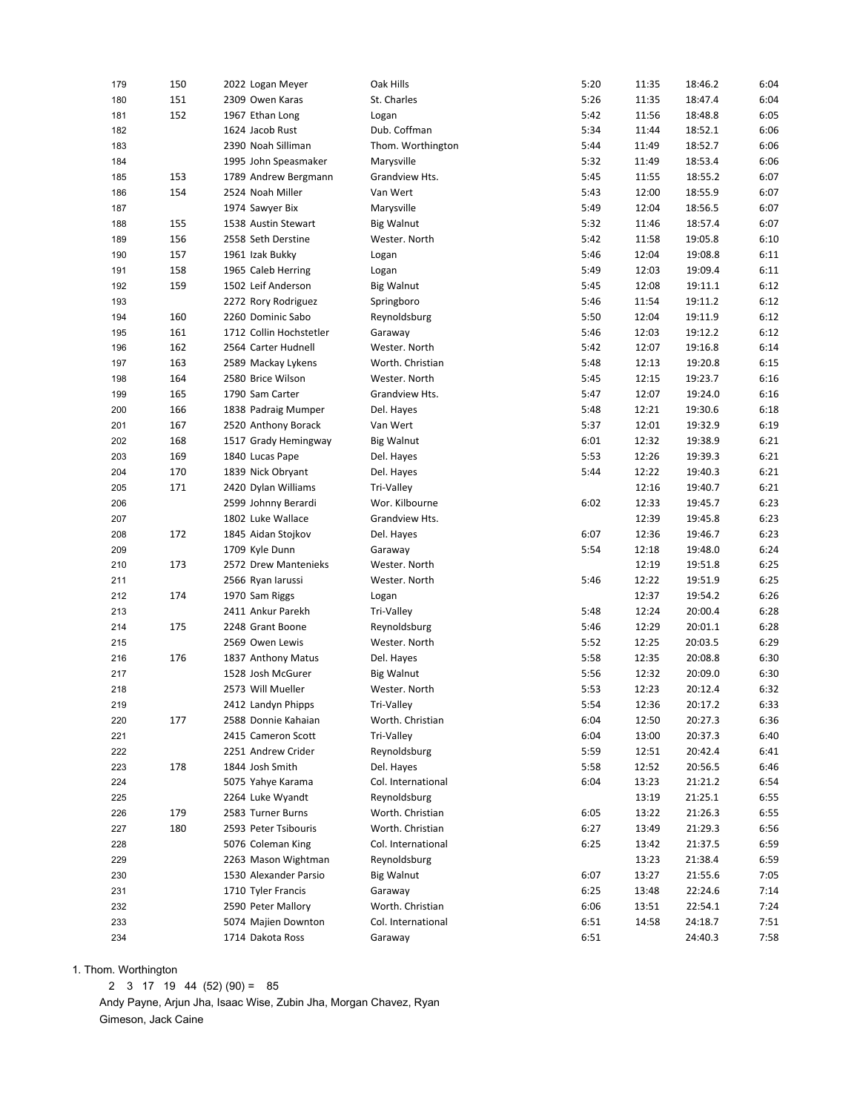| 179 | 150 | 2022 Logan Meyer        | Oak Hills          | 5:20         | 11:35 | 18:46.2 | 6:04 |
|-----|-----|-------------------------|--------------------|--------------|-------|---------|------|
| 180 | 151 | 2309 Owen Karas         | St. Charles        | 5:26         | 11:35 | 18:47.4 | 6:04 |
| 181 | 152 | 1967 Ethan Long         | Logan              | 5:42         | 11:56 | 18:48.8 | 6:05 |
| 182 |     | 1624 Jacob Rust         | Dub. Coffman       | 5:34         | 11:44 | 18:52.1 | 6:06 |
| 183 |     | 2390 Noah Silliman      | Thom. Worthington  | 5:44         | 11:49 | 18:52.7 | 6:06 |
| 184 |     | 1995 John Speasmaker    | Marysville         | 5:32         | 11:49 | 18:53.4 | 6:06 |
| 185 | 153 | 1789 Andrew Bergmann    | Grandview Hts.     | 5:45         | 11:55 | 18:55.2 | 6:07 |
| 186 | 154 | 2524 Noah Miller        | Van Wert           | 5:43         | 12:00 | 18:55.9 | 6:07 |
| 187 |     | 1974 Sawyer Bix         | Marysville         | 5:49         | 12:04 | 18:56.5 | 6:07 |
| 188 | 155 | 1538 Austin Stewart     | Big Walnut         | 5:32         | 11:46 | 18:57.4 | 6:07 |
| 189 | 156 | 2558 Seth Derstine      | Wester. North      | 5:42         | 11:58 | 19:05.8 | 6:10 |
| 190 | 157 | 1961 Izak Bukky         | Logan              | 5:46         | 12:04 | 19:08.8 | 6:11 |
| 191 | 158 | 1965 Caleb Herring      | Logan              | 5:49         | 12:03 | 19:09.4 | 6:11 |
| 192 | 159 | 1502 Leif Anderson      | <b>Big Walnut</b>  | 5:45         | 12:08 | 19:11.1 | 6:12 |
| 193 |     | 2272 Rory Rodriguez     | Springboro         | 5:46         | 11:54 | 19:11.2 | 6:12 |
| 194 | 160 | 2260 Dominic Sabo       | Reynoldsburg       | 5:50         | 12:04 | 19:11.9 | 6:12 |
| 195 | 161 | 1712 Collin Hochstetler | Garaway            | 5:46         | 12:03 | 19:12.2 | 6:12 |
| 196 | 162 | 2564 Carter Hudnell     | Wester. North      | 5:42         | 12:07 | 19:16.8 | 6:14 |
| 197 | 163 | 2589 Mackay Lykens      | Worth. Christian   | 5:48         | 12:13 | 19:20.8 | 6:15 |
| 198 | 164 | 2580 Brice Wilson       | Wester. North      | 5:45         | 12:15 | 19:23.7 | 6:16 |
| 199 | 165 | 1790 Sam Carter         | Grandview Hts.     | 5:47         | 12:07 | 19:24.0 | 6:16 |
| 200 | 166 | 1838 Padraig Mumper     | Del. Hayes         | 5:48         | 12:21 | 19:30.6 | 6:18 |
| 201 | 167 | 2520 Anthony Borack     | Van Wert           | 5:37         | 12:01 | 19:32.9 | 6:19 |
| 202 | 168 | 1517 Grady Hemingway    | Big Walnut         | 6:01         | 12:32 | 19:38.9 | 6:21 |
| 203 | 169 | 1840 Lucas Pape         | Del. Hayes         | 5:53         | 12:26 | 19:39.3 | 6:21 |
| 204 | 170 | 1839 Nick Obryant       | Del. Hayes         | 5:44         | 12:22 | 19:40.3 | 6:21 |
| 205 | 171 | 2420 Dylan Williams     | Tri-Valley         |              | 12:16 | 19:40.7 | 6:21 |
| 206 |     | 2599 Johnny Berardi     | Wor. Kilbourne     | 6:02         | 12:33 | 19:45.7 | 6:23 |
| 207 |     | 1802 Luke Wallace       | Grandview Hts.     |              | 12:39 | 19:45.8 | 6:23 |
| 208 | 172 | 1845 Aidan Stojkov      | Del. Hayes         | 6:07         | 12:36 | 19:46.7 | 6:23 |
| 209 |     | 1709 Kyle Dunn          | Garaway            | 5:54         | 12:18 | 19:48.0 | 6:24 |
| 210 | 173 | 2572 Drew Mantenieks    | Wester. North      |              | 12:19 | 19:51.8 | 6:25 |
| 211 |     | 2566 Ryan larussi       | Wester. North      | 5:46         | 12:22 | 19:51.9 | 6:25 |
| 212 | 174 | 1970 Sam Riggs          | Logan              |              | 12:37 | 19:54.2 | 6:26 |
| 213 |     | 2411 Ankur Parekh       | Tri-Valley         | 5:48         | 12:24 | 20:00.4 | 6:28 |
| 214 | 175 | 2248 Grant Boone        | Reynoldsburg       | 5:46         | 12:29 | 20:01.1 | 6:28 |
| 215 |     | 2569 Owen Lewis         | Wester. North      | 5:52         | 12:25 | 20:03.5 | 6:29 |
| 216 | 176 | 1837 Anthony Matus      | Del. Hayes         | 5:58         | 12:35 | 20:08.8 | 6:30 |
| 217 |     | 1528 Josh McGurer       | <b>Big Walnut</b>  | 5:56         | 12:32 | 20:09.0 | 6:30 |
| 218 |     | 2573 Will Mueller       | Wester. North      | 5:53         | 12:23 | 20:12.4 | 6:32 |
| 219 |     | 2412 Landyn Phipps      | Tri-Valley         | 5:54         | 12:36 | 20:17.2 | 6:33 |
| 220 | 177 | 2588 Donnie Kahaian     | Worth. Christian   | 6:04         | 12:50 | 20:27.3 | 6:36 |
| 221 |     | 2415 Cameron Scott      | Tri-Valley         | 6:04         | 13:00 | 20:37.3 | 6:40 |
| 222 |     | 2251 Andrew Crider      | Reynoldsburg       | 5:59         | 12:51 | 20:42.4 | 6:41 |
| 223 | 178 | 1844 Josh Smith         | Del. Hayes         | 5:58         | 12:52 | 20:56.5 | 6:46 |
| 224 |     | 5075 Yahye Karama       | Col. International | 6:04         | 13:23 | 21:21.2 | 6:54 |
| 225 |     | 2264 Luke Wyandt        | Reynoldsburg       |              | 13:19 | 21:25.1 | 6:55 |
| 226 | 179 | 2583 Turner Burns       | Worth. Christian   | 6:05         | 13:22 | 21:26.3 | 6:55 |
| 227 | 180 | 2593 Peter Tsibouris    | Worth. Christian   | 6:27         | 13:49 | 21:29.3 | 6:56 |
|     |     | 5076 Coleman King       | Col. International | 6:25         | 13:42 | 21:37.5 | 6:59 |
| 228 |     | 2263 Mason Wightman     | Reynoldsburg       |              | 13:23 | 21:38.4 | 6:59 |
| 229 |     | 1530 Alexander Parsio   | <b>Big Walnut</b>  | 6:07         | 13:27 | 21:55.6 | 7:05 |
| 230 |     | 1710 Tyler Francis      |                    |              |       | 22:24.6 |      |
| 231 |     |                         | Garaway            | 6:25<br>6:06 | 13:48 |         | 7:14 |
| 232 |     | 2590 Peter Mallory      | Worth. Christian   |              | 13:51 | 22:54.1 | 7:24 |
| 233 |     | 5074 Majien Downton     | Col. International | 6:51         | 14:58 | 24:18.7 | 7:51 |
| 234 |     | 1714 Dakota Ross        | Garaway            | 6:51         |       | 24:40.3 | 7:58 |

1. Thom. Worthington

2 3 17 19 44 (52) (90) = 85

 Andy Payne, Arjun Jha, Isaac Wise, Zubin Jha, Morgan Chavez, Ryan Gimeson, Jack Caine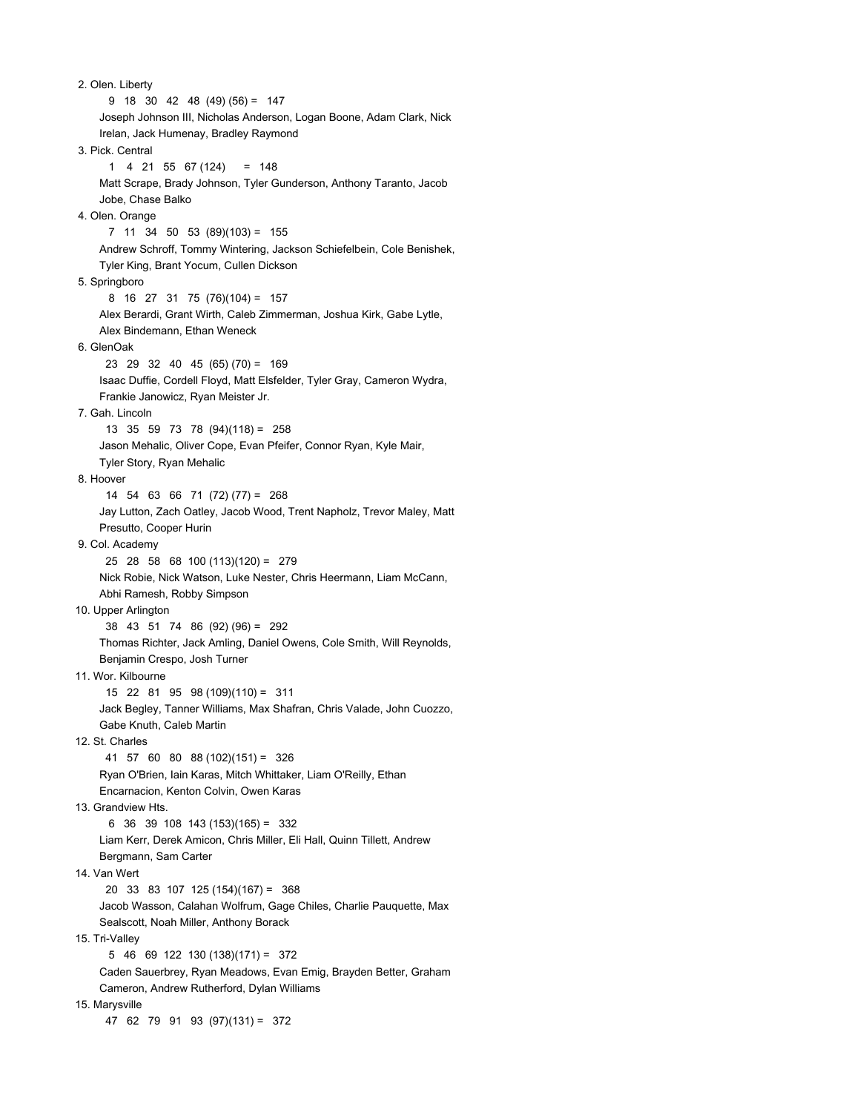2. Olen. Liberty 9 18 30 42 48 (49) (56) = 147 Joseph Johnson III, Nicholas Anderson, Logan Boone, Adam Clark, Nick Irelan, Jack Humenay, Bradley Raymond 3. Pick. Central  $1 4 21 55 67 (124) = 148$  Matt Scrape, Brady Johnson, Tyler Gunderson, Anthony Taranto, Jacob Jobe, Chase Balko 4. Olen. Orange 7 11 34 50 53 (89)(103) = 155 Andrew Schroff, Tommy Wintering, Jackson Schiefelbein, Cole Benishek, Tyler King, Brant Yocum, Cullen Dickson 5. Springboro 8 16 27 31 75 (76)(104) = 157 Alex Berardi, Grant Wirth, Caleb Zimmerman, Joshua Kirk, Gabe Lytle, Alex Bindemann, Ethan Weneck 6. GlenOak 23 29 32 40 45 (65) (70) = 169 Isaac Duffie, Cordell Floyd, Matt Elsfelder, Tyler Gray, Cameron Wydra, Frankie Janowicz, Ryan Meister Jr. 7. Gah. Lincoln 13 35 59 73 78 (94)(118) = 258 Jason Mehalic, Oliver Cope, Evan Pfeifer, Connor Ryan, Kyle Mair, Tyler Story, Ryan Mehalic 8. Hoover 14 54 63 66 71 (72) (77) = 268 Jay Lutton, Zach Oatley, Jacob Wood, Trent Napholz, Trevor Maley, Matt Presutto, Cooper Hurin 9. Col. Academy 25 28 58 68 100 (113)(120) = 279 Nick Robie, Nick Watson, Luke Nester, Chris Heermann, Liam McCann, Abhi Ramesh, Robby Simpson 10. Upper Arlington 38 43 51 74 86 (92) (96) = 292 Thomas Richter, Jack Amling, Daniel Owens, Cole Smith, Will Reynolds, Benjamin Crespo, Josh Turner 11. Wor. Kilbourne 15 22 81 95 98 (109)(110) = 311 Jack Begley, Tanner Williams, Max Shafran, Chris Valade, John Cuozzo, Gabe Knuth, Caleb Martin 12. St. Charles 41 57 60 80 88 (102)(151) = 326 Ryan O'Brien, Iain Karas, Mitch Whittaker, Liam O'Reilly, Ethan Encarnacion, Kenton Colvin, Owen Karas 13. Grandview Hts. 6 36 39 108 143 (153)(165) = 332 Liam Kerr, Derek Amicon, Chris Miller, Eli Hall, Quinn Tillett, Andrew Bergmann, Sam Carter 14. Van Wert 20 33 83 107 125 (154)(167) = 368 Jacob Wasson, Calahan Wolfrum, Gage Chiles, Charlie Pauquette, Max Sealscott, Noah Miller, Anthony Borack 15. Tri-Valley 5 46 69 122 130 (138)(171) = 372 Caden Sauerbrey, Ryan Meadows, Evan Emig, Brayden Better, Graham Cameron, Andrew Rutherford, Dylan Williams 15. Marysville 47 62 79 91 93 (97)(131) = 372